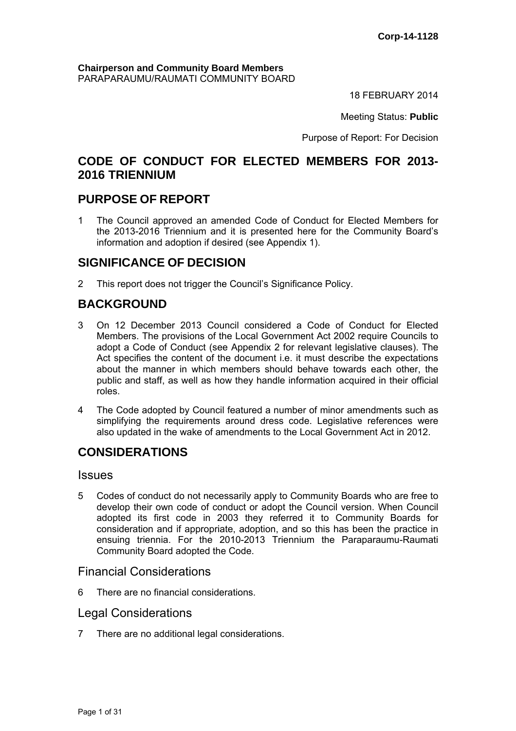# **Chairperson and Community Board Members** PARAPARAUMU/RAUMATI COMMUNITY BOARD

18 FEBRUARY 2014

Meeting Status: **Public**

Purpose of Report: For Decision

# **CODE OF CONDUCT FOR ELECTED MEMBERS FOR 2013- 2016 TRIENNIUM**

# **PURPOSE OF REPORT**

1 The Council approved an amended Code of Conduct for Elected Members for the 2013-2016 Triennium and it is presented here for the Community Board's information and adoption if desired (see Appendix 1).

# **SIGNIFICANCE OF DECISION**

2 This report does not trigger the Council's Significance Policy.

# **BACKGROUND**

- 3 On 12 December 2013 Council considered a Code of Conduct for Elected Members. The provisions of the Local Government Act 2002 require Councils to adopt a Code of Conduct (see Appendix 2 for relevant legislative clauses). The Act specifies the content of the document i.e. it must describe the expectations about the manner in which members should behave towards each other, the public and staff, as well as how they handle information acquired in their official roles.
- 4 The Code adopted by Council featured a number of minor amendments such as simplifying the requirements around dress code. Legislative references were also updated in the wake of amendments to the Local Government Act in 2012.

# **CONSIDERATIONS**

# Issues

5 Codes of conduct do not necessarily apply to Community Boards who are free to develop their own code of conduct or adopt the Council version. When Council adopted its first code in 2003 they referred it to Community Boards for consideration and if appropriate, adoption, and so this has been the practice in ensuing triennia. For the 2010-2013 Triennium the Paraparaumu-Raumati Community Board adopted the Code.

# Financial Considerations

6 There are no financial considerations.

# Legal Considerations

7 There are no additional legal considerations.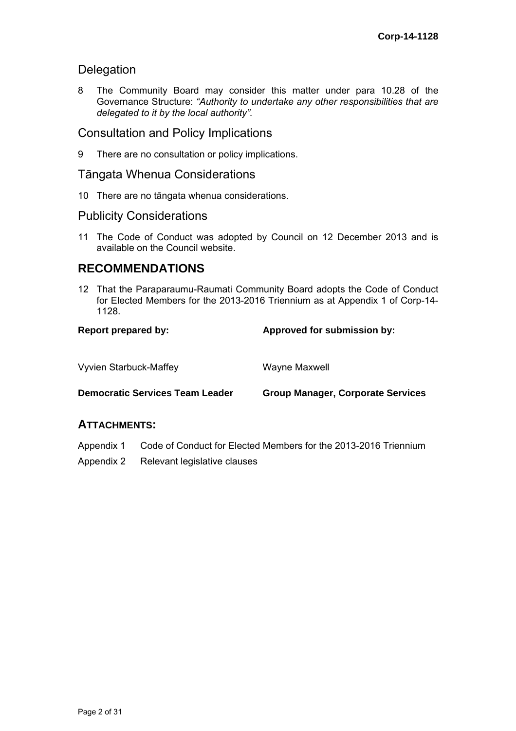# Delegation

8 The Community Board may consider this matter under para 10.28 of the Governance Structure: *"Authority to undertake any other responsibilities that are delegated to it by the local authority".*

# Consultation and Policy Implications

9 There are no consultation or policy implications.

# Tāngata Whenua Considerations

10 There are no tāngata whenua considerations.

# Publicity Considerations

11 The Code of Conduct was adopted by Council on 12 December 2013 and is available on the Council website.

# **RECOMMENDATIONS**

12 That the Paraparaumu-Raumati Community Board adopts the Code of Conduct for Elected Members for the 2013-2016 Triennium as at Appendix 1 of Corp-14- 1128.

# Report prepared by: **Approved for submission by:**  $\blacksquare$

| <b>Vyvien Starbuck-Maffey</b>          | Wayne Maxwell                            |
|----------------------------------------|------------------------------------------|
| <b>Democratic Services Team Leader</b> | <b>Group Manager, Corporate Services</b> |

# **ATTACHMENTS:**

- Appendix 1 Code of Conduct for Elected Members for the 2013-2016 Triennium
- Appendix 2 Relevant legislative clauses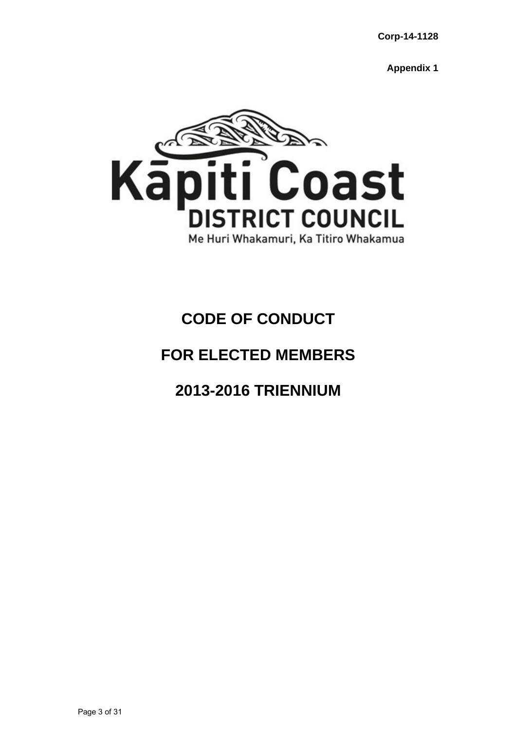**Appendix 1** 



# **CODE OF CONDUCT**

# **FOR ELECTED MEMBERS**

# **2013-2016 TRIENNIUM**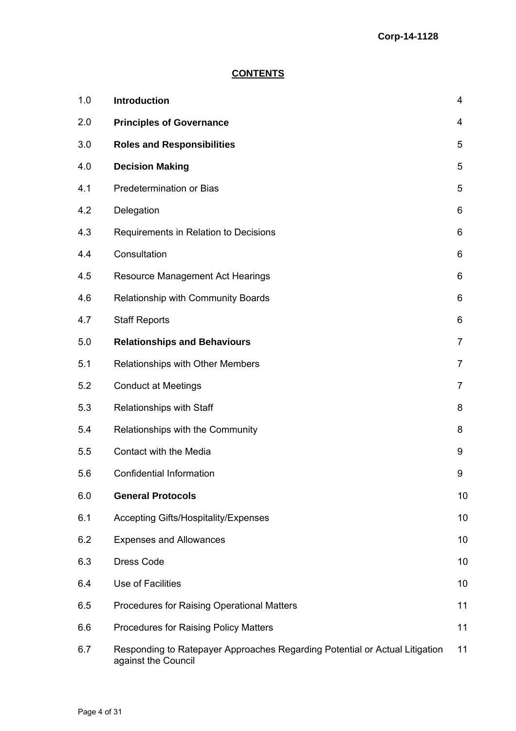# **CONTENTS**

| 1.0 | Introduction                                                                                       | 4              |
|-----|----------------------------------------------------------------------------------------------------|----------------|
| 2.0 | <b>Principles of Governance</b>                                                                    | 4              |
| 3.0 | <b>Roles and Responsibilities</b>                                                                  | 5              |
| 4.0 | <b>Decision Making</b>                                                                             | 5              |
| 4.1 | <b>Predetermination or Bias</b>                                                                    | 5              |
| 4.2 | Delegation                                                                                         | 6              |
| 4.3 | Requirements in Relation to Decisions                                                              | 6              |
| 4.4 | Consultation                                                                                       | 6              |
| 4.5 | Resource Management Act Hearings                                                                   | 6              |
| 4.6 | Relationship with Community Boards                                                                 | 6              |
| 4.7 | <b>Staff Reports</b>                                                                               | 6              |
| 5.0 | <b>Relationships and Behaviours</b>                                                                | 7              |
| 5.1 | Relationships with Other Members                                                                   | 7              |
| 5.2 | <b>Conduct at Meetings</b>                                                                         | $\overline{7}$ |
| 5.3 | Relationships with Staff                                                                           | 8              |
| 5.4 | Relationships with the Community                                                                   | 8              |
| 5.5 | Contact with the Media                                                                             | 9              |
| 5.6 | <b>Confidential Information</b>                                                                    | 9              |
| 6.0 | <b>General Protocols</b>                                                                           | 10             |
| 6.1 | <b>Accepting Gifts/Hospitality/Expenses</b>                                                        | 10             |
| 6.2 | <b>Expenses and Allowances</b>                                                                     | 10             |
| 6.3 | <b>Dress Code</b>                                                                                  | 10             |
| 6.4 | Use of Facilities                                                                                  | 10             |
| 6.5 | <b>Procedures for Raising Operational Matters</b>                                                  | 11             |
| 6.6 | Procedures for Raising Policy Matters                                                              | 11             |
| 6.7 | Responding to Ratepayer Approaches Regarding Potential or Actual Litigation<br>against the Council | 11             |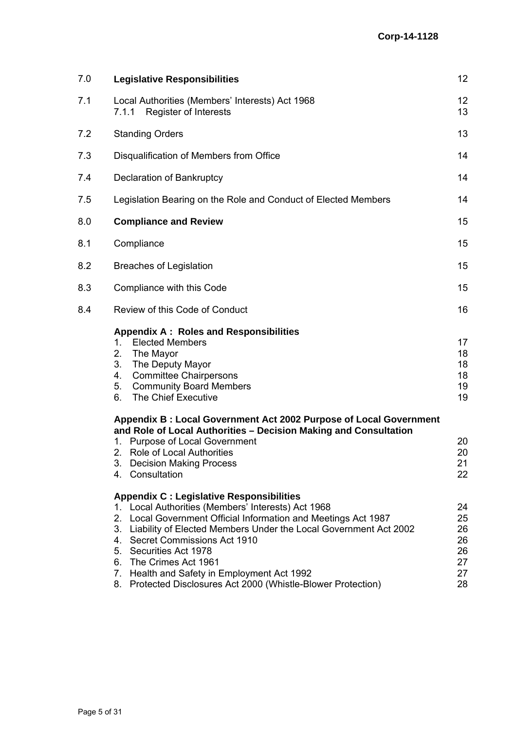| 7.0                                                                                                                                                                                                                                                                                                                                                                                                                                                                                                                                                                                                                                                                                                                                                  | <b>Legislative Responsibilities</b>                                                                                                   | $12 \overline{ }$                            |
|------------------------------------------------------------------------------------------------------------------------------------------------------------------------------------------------------------------------------------------------------------------------------------------------------------------------------------------------------------------------------------------------------------------------------------------------------------------------------------------------------------------------------------------------------------------------------------------------------------------------------------------------------------------------------------------------------------------------------------------------------|---------------------------------------------------------------------------------------------------------------------------------------|----------------------------------------------|
| 7.1                                                                                                                                                                                                                                                                                                                                                                                                                                                                                                                                                                                                                                                                                                                                                  | Local Authorities (Members' Interests) Act 1968<br><b>Register of Interests</b><br>7.1.1                                              | 12<br>13                                     |
| 7.2                                                                                                                                                                                                                                                                                                                                                                                                                                                                                                                                                                                                                                                                                                                                                  | <b>Standing Orders</b>                                                                                                                | 13                                           |
| 7.3                                                                                                                                                                                                                                                                                                                                                                                                                                                                                                                                                                                                                                                                                                                                                  | Disqualification of Members from Office                                                                                               | 14                                           |
| 7.4                                                                                                                                                                                                                                                                                                                                                                                                                                                                                                                                                                                                                                                                                                                                                  | Declaration of Bankruptcy                                                                                                             | 14                                           |
| 7.5                                                                                                                                                                                                                                                                                                                                                                                                                                                                                                                                                                                                                                                                                                                                                  | Legislation Bearing on the Role and Conduct of Elected Members                                                                        | 14                                           |
| 8.0                                                                                                                                                                                                                                                                                                                                                                                                                                                                                                                                                                                                                                                                                                                                                  | <b>Compliance and Review</b>                                                                                                          | 15                                           |
| 8.1                                                                                                                                                                                                                                                                                                                                                                                                                                                                                                                                                                                                                                                                                                                                                  | Compliance                                                                                                                            | 15                                           |
| 8.2                                                                                                                                                                                                                                                                                                                                                                                                                                                                                                                                                                                                                                                                                                                                                  | <b>Breaches of Legislation</b>                                                                                                        | 15                                           |
| 8.3                                                                                                                                                                                                                                                                                                                                                                                                                                                                                                                                                                                                                                                                                                                                                  | Compliance with this Code                                                                                                             | 15                                           |
| 8.4                                                                                                                                                                                                                                                                                                                                                                                                                                                                                                                                                                                                                                                                                                                                                  | Review of this Code of Conduct                                                                                                        | 16                                           |
| <b>Appendix A: Roles and Responsibilities</b><br><b>Elected Members</b><br>1.<br>2.<br>The Mayor<br>3.<br>The Deputy Mayor<br><b>Committee Chairpersons</b><br>4.<br>5.<br><b>Community Board Members</b><br>The Chief Executive<br>6.<br><b>Purpose of Local Government</b><br>1.<br>2. Role of Local Authorities<br>3. Decision Making Process<br>4. Consultation<br><b>Appendix C: Legislative Responsibilities</b><br>1. Local Authorities (Members' Interests) Act 1968<br>2. Local Government Official Information and Meetings Act 1987<br>4. Secret Commissions Act 1910<br>5. Securities Act 1978<br>6. The Crimes Act 1961<br>7. Health and Safety in Employment Act 1992<br>8. Protected Disclosures Act 2000 (Whistle-Blower Protection) | 17<br>18<br>18<br>18<br>19<br>19                                                                                                      |                                              |
|                                                                                                                                                                                                                                                                                                                                                                                                                                                                                                                                                                                                                                                                                                                                                      | Appendix B: Local Government Act 2002 Purpose of Local Government<br>and Role of Local Authorities - Decision Making and Consultation | 20<br>20<br>21<br>22                         |
|                                                                                                                                                                                                                                                                                                                                                                                                                                                                                                                                                                                                                                                                                                                                                      | 3. Liability of Elected Members Under the Local Government Act 2002                                                                   | 24<br>25<br>26<br>26<br>26<br>27<br>27<br>28 |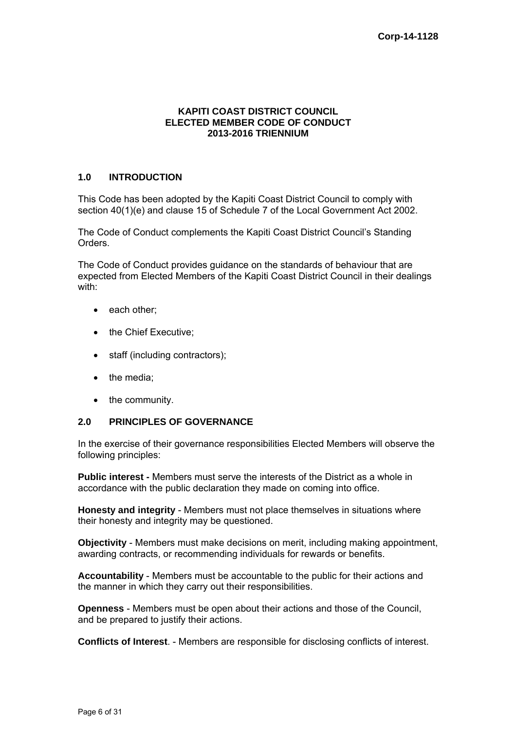#### **KAPITI COAST DISTRICT COUNCIL ELECTED MEMBER CODE OF CONDUCT 2013-2016 TRIENNIUM**

# **1.0 INTRODUCTION**

This Code has been adopted by the Kapiti Coast District Council to comply with section 40(1)(e) and clause 15 of Schedule 7 of the Local Government Act 2002.

The Code of Conduct complements the Kapiti Coast District Council's Standing Orders.

The Code of Conduct provides guidance on the standards of behaviour that are expected from Elected Members of the Kapiti Coast District Council in their dealings with:

- each other:
- the Chief Executive;
- staff (including contractors);
- the media:
- the community.

# **2.0 PRINCIPLES OF GOVERNANCE**

In the exercise of their governance responsibilities Elected Members will observe the following principles:

**Public interest -** Members must serve the interests of the District as a whole in accordance with the public declaration they made on coming into office.

**Honesty and integrity** - Members must not place themselves in situations where their honesty and integrity may be questioned.

**Objectivity** - Members must make decisions on merit, including making appointment, awarding contracts, or recommending individuals for rewards or benefits.

**Accountability** - Members must be accountable to the public for their actions and the manner in which they carry out their responsibilities.

**Openness** - Members must be open about their actions and those of the Council, and be prepared to justify their actions.

**Conflicts of Interest**. - Members are responsible for disclosing conflicts of interest.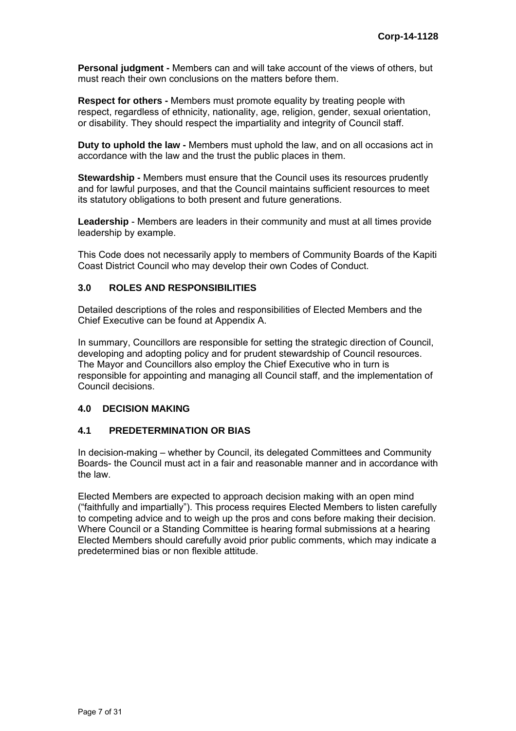**Personal judgment -** Members can and will take account of the views of others, but must reach their own conclusions on the matters before them.

**Respect for others -** Members must promote equality by treating people with respect, regardless of ethnicity, nationality, age, religion, gender, sexual orientation, or disability. They should respect the impartiality and integrity of Council staff.

**Duty to uphold the law -** Members must uphold the law, and on all occasions act in accordance with the law and the trust the public places in them.

**Stewardship -** Members must ensure that the Council uses its resources prudently and for lawful purposes, and that the Council maintains sufficient resources to meet its statutory obligations to both present and future generations.

**Leadership** - Members are leaders in their community and must at all times provide leadership by example.

This Code does not necessarily apply to members of Community Boards of the Kapiti Coast District Council who may develop their own Codes of Conduct.

# **3.0 ROLES AND RESPONSIBILITIES**

Detailed descriptions of the roles and responsibilities of Elected Members and the Chief Executive can be found at Appendix A.

In summary, Councillors are responsible for setting the strategic direction of Council, developing and adopting policy and for prudent stewardship of Council resources. The Mayor and Councillors also employ the Chief Executive who in turn is responsible for appointing and managing all Council staff, and the implementation of Council decisions.

# **4.0 DECISION MAKING**

# **4.1 PREDETERMINATION OR BIAS**

In decision-making – whether by Council, its delegated Committees and Community Boards- the Council must act in a fair and reasonable manner and in accordance with the law.

Elected Members are expected to approach decision making with an open mind ("faithfully and impartially"). This process requires Elected Members to listen carefully to competing advice and to weigh up the pros and cons before making their decision. Where Council or a Standing Committee is hearing formal submissions at a hearing Elected Members should carefully avoid prior public comments, which may indicate a predetermined bias or non flexible attitude.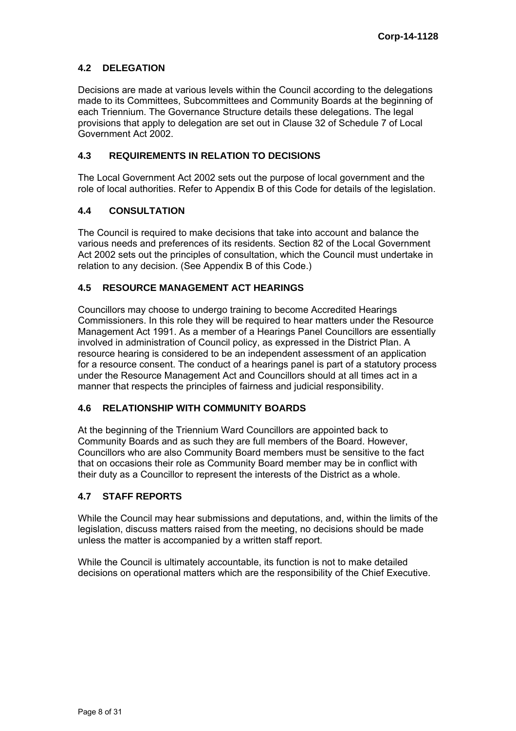# **4.2 DELEGATION**

Decisions are made at various levels within the Council according to the delegations made to its Committees, Subcommittees and Community Boards at the beginning of each Triennium. The Governance Structure details these delegations. The legal provisions that apply to delegation are set out in Clause 32 of Schedule 7 of Local Government Act 2002.

# **4.3 REQUIREMENTS IN RELATION TO DECISIONS**

The Local Government Act 2002 sets out the purpose of local government and the role of local authorities. Refer to Appendix B of this Code for details of the legislation.

#### **4.4 CONSULTATION**

The Council is required to make decisions that take into account and balance the various needs and preferences of its residents. Section 82 of the Local Government Act 2002 sets out the principles of consultation, which the Council must undertake in relation to any decision. (See Appendix B of this Code.)

# **4.5 RESOURCE MANAGEMENT ACT HEARINGS**

Councillors may choose to undergo training to become Accredited Hearings Commissioners. In this role they will be required to hear matters under the Resource Management Act 1991. As a member of a Hearings Panel Councillors are essentially involved in administration of Council policy, as expressed in the District Plan. A resource hearing is considered to be an independent assessment of an application for a resource consent. The conduct of a hearings panel is part of a statutory process under the Resource Management Act and Councillors should at all times act in a manner that respects the principles of fairness and judicial responsibility.

# **4.6 RELATIONSHIP WITH COMMUNITY BOARDS**

At the beginning of the Triennium Ward Councillors are appointed back to Community Boards and as such they are full members of the Board. However, Councillors who are also Community Board members must be sensitive to the fact that on occasions their role as Community Board member may be in conflict with their duty as a Councillor to represent the interests of the District as a whole.

#### **4.7 STAFF REPORTS**

While the Council may hear submissions and deputations, and, within the limits of the legislation, discuss matters raised from the meeting, no decisions should be made unless the matter is accompanied by a written staff report.

While the Council is ultimately accountable, its function is not to make detailed decisions on operational matters which are the responsibility of the Chief Executive.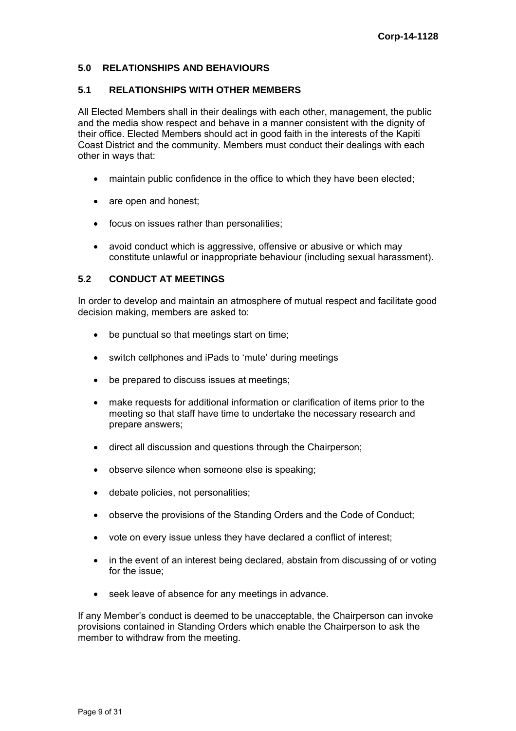# **5.0 RELATIONSHIPS AND BEHAVIOURS**

#### **5.1 RELATIONSHIPS WITH OTHER MEMBERS**

All Elected Members shall in their dealings with each other, management, the public and the media show respect and behave in a manner consistent with the dignity of their office. Elected Members should act in good faith in the interests of the Kapiti Coast District and the community. Members must conduct their dealings with each other in ways that:

- maintain public confidence in the office to which they have been elected;
- are open and honest;
- focus on issues rather than personalities;
- avoid conduct which is aggressive, offensive or abusive or which may constitute unlawful or inappropriate behaviour (including sexual harassment).

# **5.2 CONDUCT AT MEETINGS**

In order to develop and maintain an atmosphere of mutual respect and facilitate good decision making, members are asked to:

- be punctual so that meetings start on time;
- switch cellphones and iPads to 'mute' during meetings
- be prepared to discuss issues at meetings;
- make requests for additional information or clarification of items prior to the meeting so that staff have time to undertake the necessary research and prepare answers;
- direct all discussion and questions through the Chairperson;
- observe silence when someone else is speaking;
- debate policies, not personalities;
- observe the provisions of the Standing Orders and the Code of Conduct;
- vote on every issue unless they have declared a conflict of interest;
- in the event of an interest being declared, abstain from discussing of or voting for the issue;
- seek leave of absence for any meetings in advance.

If any Member's conduct is deemed to be unacceptable, the Chairperson can invoke provisions contained in Standing Orders which enable the Chairperson to ask the member to withdraw from the meeting.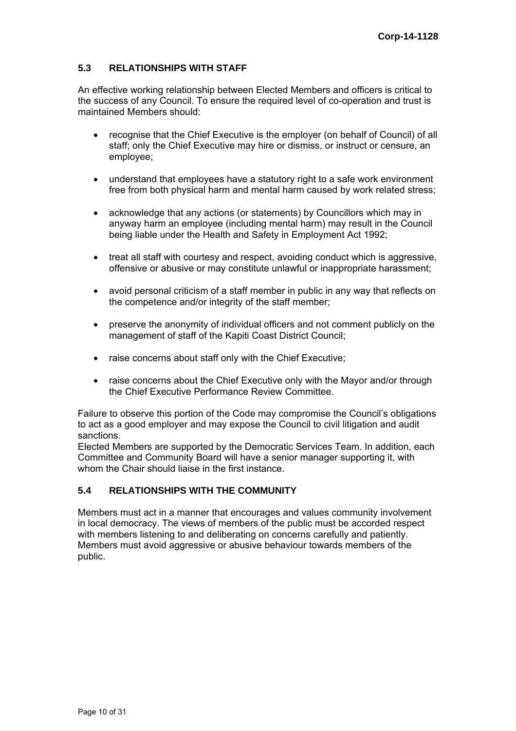# **5.3 RELATIONSHIPS WITH STAFF**

An effective working relationship between Elected Members and officers is critical to the success of any Council. To ensure the required level of co-operation and trust is maintained Members should:

- recognise that the Chief Executive is the employer (on behalf of Council) of all staff; only the Chief Executive may hire or dismiss, or instruct or censure, an employee;
- understand that employees have a statutory right to a safe work environment free from both physical harm and mental harm caused by work related stress;
- acknowledge that any actions (or statements) by Councillors which may in anyway harm an employee (including mental harm) may result in the Council being liable under the Health and Safety in Employment Act 1992;
- treat all staff with courtesy and respect, avoiding conduct which is aggressive, offensive or abusive or may constitute unlawful or inappropriate harassment;
- avoid personal criticism of a staff member in public in any way that reflects on the competence and/or integrity of the staff member;
- preserve the anonymity of individual officers and not comment publicly on the management of staff of the Kapiti Coast District Council;
- raise concerns about staff only with the Chief Executive;
- raise concerns about the Chief Executive only with the Mayor and/or through the Chief Executive Performance Review Committee.

Failure to observe this portion of the Code may compromise the Council's obligations to act as a good employer and may expose the Council to civil litigation and audit sanctions.

Elected Members are supported by the Democratic Services Team. In addition, each Committee and Community Board will have a senior manager supporting it, with whom the Chair should liaise in the first instance.

# **5.4 RELATIONSHIPS WITH THE COMMUNITY**

Members must act in a manner that encourages and values community involvement in local democracy. The views of members of the public must be accorded respect with members listening to and deliberating on concerns carefully and patiently. Members must avoid aggressive or abusive behaviour towards members of the public.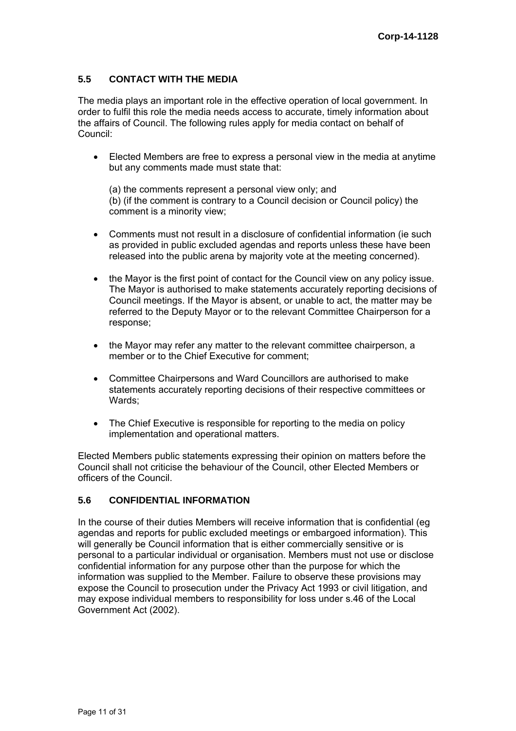# **5.5 CONTACT WITH THE MEDIA**

The media plays an important role in the effective operation of local government. In order to fulfil this role the media needs access to accurate, timely information about the affairs of Council. The following rules apply for media contact on behalf of Council:

 Elected Members are free to express a personal view in the media at anytime but any comments made must state that:

(a) the comments represent a personal view only; and (b) (if the comment is contrary to a Council decision or Council policy) the comment is a minority view;

- Comments must not result in a disclosure of confidential information (ie such as provided in public excluded agendas and reports unless these have been released into the public arena by majority vote at the meeting concerned).
- the Mayor is the first point of contact for the Council view on any policy issue. The Mayor is authorised to make statements accurately reporting decisions of Council meetings. If the Mayor is absent, or unable to act, the matter may be referred to the Deputy Mayor or to the relevant Committee Chairperson for a response;
- the Mayor may refer any matter to the relevant committee chairperson, a member or to the Chief Executive for comment;
- Committee Chairpersons and Ward Councillors are authorised to make statements accurately reporting decisions of their respective committees or Wards;
- The Chief Executive is responsible for reporting to the media on policy implementation and operational matters.

Elected Members public statements expressing their opinion on matters before the Council shall not criticise the behaviour of the Council, other Elected Members or officers of the Council.

# **5.6 CONFIDENTIAL INFORMATION**

In the course of their duties Members will receive information that is confidential (eg agendas and reports for public excluded meetings or embargoed information). This will generally be Council information that is either commercially sensitive or is personal to a particular individual or organisation. Members must not use or disclose confidential information for any purpose other than the purpose for which the information was supplied to the Member. Failure to observe these provisions may expose the Council to prosecution under the Privacy Act 1993 or civil litigation, and may expose individual members to responsibility for loss under s.46 of the Local Government Act (2002).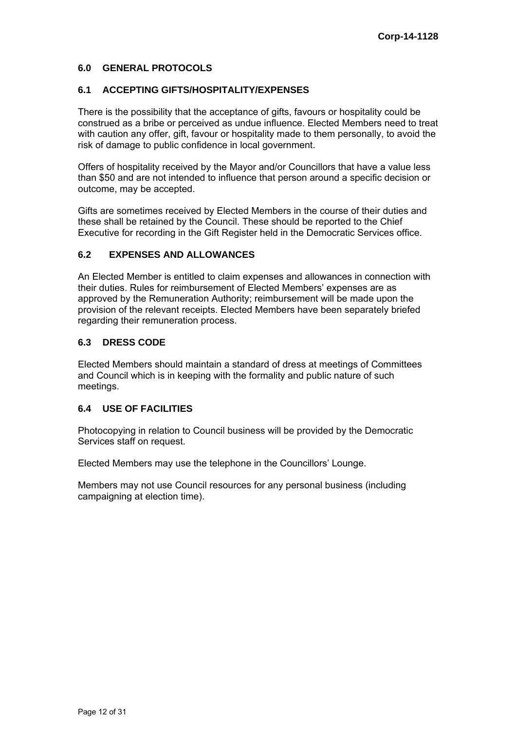# **6.0 GENERAL PROTOCOLS**

# **6.1 ACCEPTING GIFTS/HOSPITALITY/EXPENSES**

There is the possibility that the acceptance of gifts, favours or hospitality could be construed as a bribe or perceived as undue influence. Elected Members need to treat with caution any offer, gift, favour or hospitality made to them personally, to avoid the risk of damage to public confidence in local government.

Offers of hospitality received by the Mayor and/or Councillors that have a value less than \$50 and are not intended to influence that person around a specific decision or outcome, may be accepted.

Gifts are sometimes received by Elected Members in the course of their duties and these shall be retained by the Council. These should be reported to the Chief Executive for recording in the Gift Register held in the Democratic Services office.

# **6.2 EXPENSES AND ALLOWANCES**

An Elected Member is entitled to claim expenses and allowances in connection with their duties. Rules for reimbursement of Elected Members' expenses are as approved by the Remuneration Authority; reimbursement will be made upon the provision of the relevant receipts. Elected Members have been separately briefed regarding their remuneration process.

#### **6.3 DRESS CODE**

Elected Members should maintain a standard of dress at meetings of Committees and Council which is in keeping with the formality and public nature of such meetings.

# **6.4 USE OF FACILITIES**

Photocopying in relation to Council business will be provided by the Democratic Services staff on request.

Elected Members may use the telephone in the Councillors' Lounge.

Members may not use Council resources for any personal business (including campaigning at election time).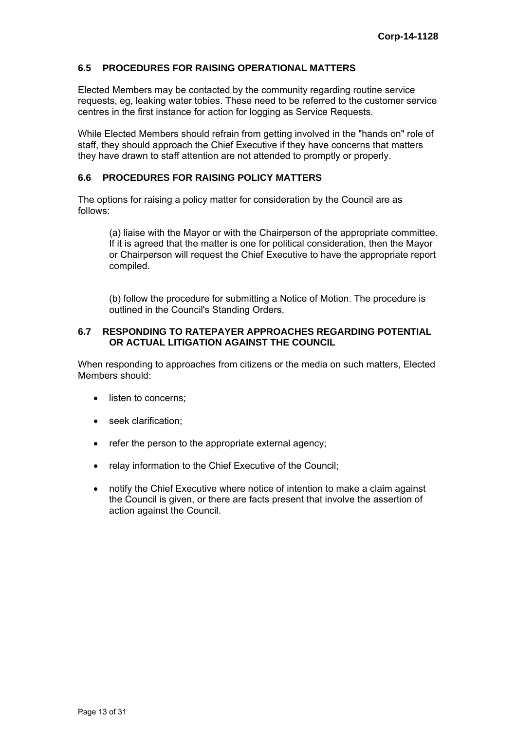### **6.5 PROCEDURES FOR RAISING OPERATIONAL MATTERS**

Elected Members may be contacted by the community regarding routine service requests, eg, leaking water tobies. These need to be referred to the customer service centres in the first instance for action for logging as Service Requests.

While Elected Members should refrain from getting involved in the "hands on" role of staff, they should approach the Chief Executive if they have concerns that matters they have drawn to staff attention are not attended to promptly or properly.

### **6.6 PROCEDURES FOR RAISING POLICY MATTERS**

The options for raising a policy matter for consideration by the Council are as follows:

(a) liaise with the Mayor or with the Chairperson of the appropriate committee. If it is agreed that the matter is one for political consideration, then the Mayor or Chairperson will request the Chief Executive to have the appropriate report compiled.

(b) follow the procedure for submitting a Notice of Motion. The procedure is outlined in the Council's Standing Orders.

#### **6.7 RESPONDING TO RATEPAYER APPROACHES REGARDING POTENTIAL OR ACTUAL LITIGATION AGAINST THE COUNCIL**

When responding to approaches from citizens or the media on such matters, Elected Members should:

- listen to concerns:
- seek clarification:
- refer the person to the appropriate external agency;
- relay information to the Chief Executive of the Council;
- notify the Chief Executive where notice of intention to make a claim against the Council is given, or there are facts present that involve the assertion of action against the Council.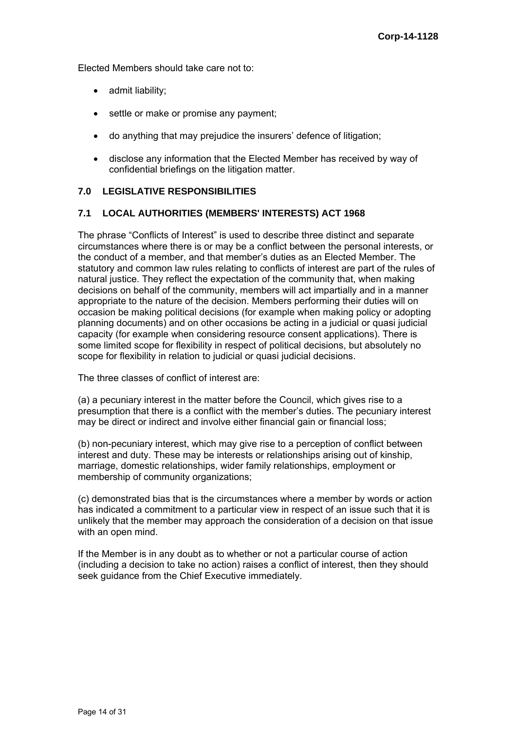Elected Members should take care not to:

- admit liability;
- settle or make or promise any payment;
- do anything that may prejudice the insurers' defence of litigation;
- disclose any information that the Elected Member has received by way of confidential briefings on the litigation matter.

# **7.0 LEGISLATIVE RESPONSIBILITIES**

# **7.1 LOCAL AUTHORITIES (MEMBERS' INTERESTS) ACT 1968**

The phrase "Conflicts of Interest" is used to describe three distinct and separate circumstances where there is or may be a conflict between the personal interests, or the conduct of a member, and that member's duties as an Elected Member. The statutory and common law rules relating to conflicts of interest are part of the rules of natural justice. They reflect the expectation of the community that, when making decisions on behalf of the community, members will act impartially and in a manner appropriate to the nature of the decision. Members performing their duties will on occasion be making political decisions (for example when making policy or adopting planning documents) and on other occasions be acting in a judicial or quasi judicial capacity (for example when considering resource consent applications). There is some limited scope for flexibility in respect of political decisions, but absolutely no scope for flexibility in relation to judicial or quasi judicial decisions.

The three classes of conflict of interest are:

(a) a pecuniary interest in the matter before the Council, which gives rise to a presumption that there is a conflict with the member's duties. The pecuniary interest may be direct or indirect and involve either financial gain or financial loss;

(b) non-pecuniary interest, which may give rise to a perception of conflict between interest and duty. These may be interests or relationships arising out of kinship, marriage, domestic relationships, wider family relationships, employment or membership of community organizations;

(c) demonstrated bias that is the circumstances where a member by words or action has indicated a commitment to a particular view in respect of an issue such that it is unlikely that the member may approach the consideration of a decision on that issue with an open mind.

If the Member is in any doubt as to whether or not a particular course of action (including a decision to take no action) raises a conflict of interest, then they should seek guidance from the Chief Executive immediately.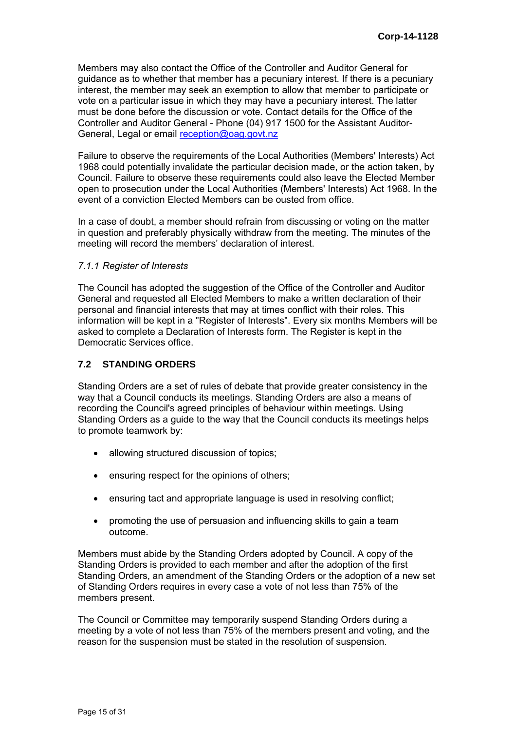Members may also contact the Office of the Controller and Auditor General for guidance as to whether that member has a pecuniary interest. If there is a pecuniary interest, the member may seek an exemption to allow that member to participate or vote on a particular issue in which they may have a pecuniary interest. The latter must be done before the discussion or vote. Contact details for the Office of the Controller and Auditor General - Phone (04) 917 1500 for the Assistant Auditor-General, Legal or email [reception@oag.govt.nz](mailto:reception@oag.govt.nz)

Failure to observe the requirements of the Local Authorities (Members' Interests) Act 1968 could potentially invalidate the particular decision made, or the action taken, by Council. Failure to observe these requirements could also leave the Elected Member open to prosecution under the Local Authorities (Members' Interests) Act 1968. In the event of a conviction Elected Members can be ousted from office.

In a case of doubt, a member should refrain from discussing or voting on the matter in question and preferably physically withdraw from the meeting. The minutes of the meeting will record the members' declaration of interest.

#### *7.1.1 Register of Interests*

The Council has adopted the suggestion of the Office of the Controller and Auditor General and requested all Elected Members to make a written declaration of their personal and financial interests that may at times conflict with their roles. This information will be kept in a "Register of Interests". Every six months Members will be asked to complete a Declaration of Interests form. The Register is kept in the Democratic Services office.

# **7.2 STANDING ORDERS**

Standing Orders are a set of rules of debate that provide greater consistency in the way that a Council conducts its meetings. Standing Orders are also a means of recording the Council's agreed principles of behaviour within meetings. Using Standing Orders as a guide to the way that the Council conducts its meetings helps to promote teamwork by:

- allowing structured discussion of topics;
- ensuring respect for the opinions of others;
- ensuring tact and appropriate language is used in resolving conflict;
- promoting the use of persuasion and influencing skills to gain a team outcome.

Members must abide by the Standing Orders adopted by Council. A copy of the Standing Orders is provided to each member and after the adoption of the first Standing Orders, an amendment of the Standing Orders or the adoption of a new set of Standing Orders requires in every case a vote of not less than 75% of the members present.

The Council or Committee may temporarily suspend Standing Orders during a meeting by a vote of not less than 75% of the members present and voting, and the reason for the suspension must be stated in the resolution of suspension.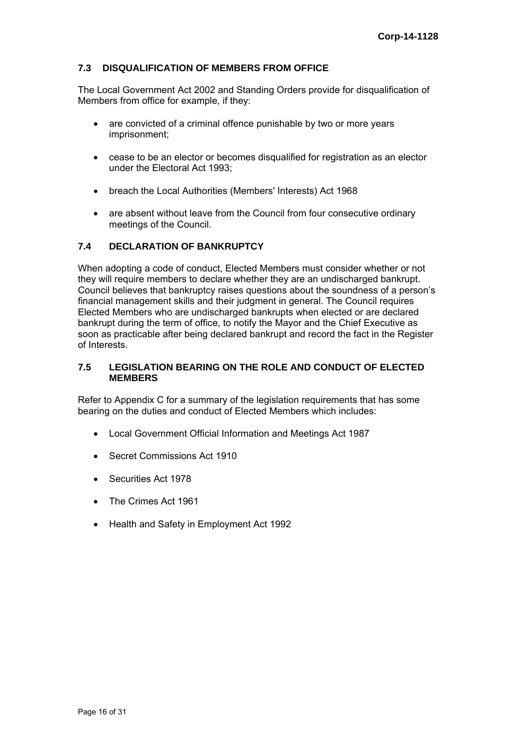# **7.3 DISQUALIFICATION OF MEMBERS FROM OFFICE**

The Local Government Act 2002 and Standing Orders provide for disqualification of Members from office for example, if they:

- are convicted of a criminal offence punishable by two or more years imprisonment;
- cease to be an elector or becomes disqualified for registration as an elector under the Electoral Act 1993;
- breach the Local Authorities (Members' Interests) Act 1968
- are absent without leave from the Council from four consecutive ordinary meetings of the Council.

# **7.4 DECLARATION OF BANKRUPTCY**

When adopting a code of conduct, Elected Members must consider whether or not they will require members to declare whether they are an undischarged bankrupt. Council believes that bankruptcy raises questions about the soundness of a person's financial management skills and their judgment in general. The Council requires Elected Members who are undischarged bankrupts when elected or are declared bankrupt during the term of office, to notify the Mayor and the Chief Executive as soon as practicable after being declared bankrupt and record the fact in the Register of Interests.

# **7.5 LEGISLATION BEARING ON THE ROLE AND CONDUCT OF ELECTED MEMBERS**

Refer to Appendix C for a summary of the legislation requirements that has some bearing on the duties and conduct of Elected Members which includes:

- Local Government Official Information and Meetings Act 1987
- Secret Commissions Act 1910
- Securities Act 1978
- The Crimes Act 1961
- Health and Safety in Employment Act 1992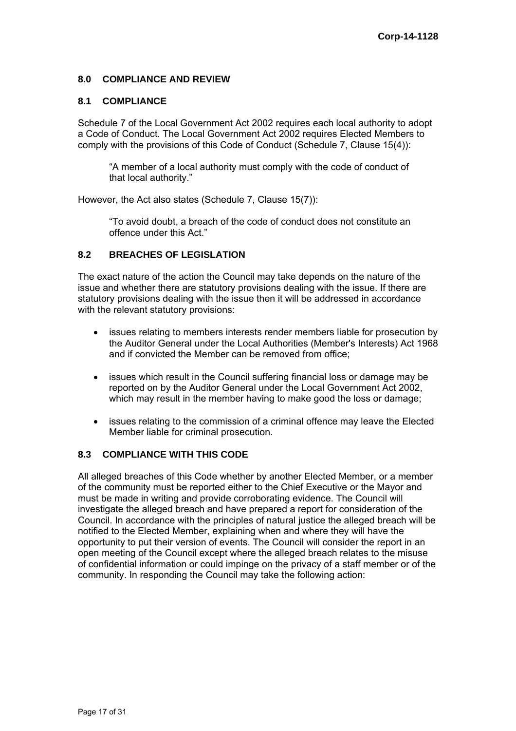# **8.0 COMPLIANCE AND REVIEW**

### **8.1 COMPLIANCE**

Schedule 7 of the Local Government Act 2002 requires each local authority to adopt a Code of Conduct. The Local Government Act 2002 requires Elected Members to comply with the provisions of this Code of Conduct (Schedule 7, Clause 15(4)):

"A member of a local authority must comply with the code of conduct of that local authority."

However, the Act also states (Schedule 7, Clause 15(7)):

"To avoid doubt, a breach of the code of conduct does not constitute an offence under this Act."

# **8.2 BREACHES OF LEGISLATION**

The exact nature of the action the Council may take depends on the nature of the issue and whether there are statutory provisions dealing with the issue. If there are statutory provisions dealing with the issue then it will be addressed in accordance with the relevant statutory provisions:

- issues relating to members interests render members liable for prosecution by the Auditor General under the Local Authorities (Member's Interests) Act 1968 and if convicted the Member can be removed from office;
- issues which result in the Council suffering financial loss or damage may be reported on by the Auditor General under the Local Government Act 2002, which may result in the member having to make good the loss or damage;
- issues relating to the commission of a criminal offence may leave the Elected Member liable for criminal prosecution.

# **8.3 COMPLIANCE WITH THIS CODE**

All alleged breaches of this Code whether by another Elected Member, or a member of the community must be reported either to the Chief Executive or the Mayor and must be made in writing and provide corroborating evidence. The Council will investigate the alleged breach and have prepared a report for consideration of the Council. In accordance with the principles of natural justice the alleged breach will be notified to the Elected Member, explaining when and where they will have the opportunity to put their version of events. The Council will consider the report in an open meeting of the Council except where the alleged breach relates to the misuse of confidential information or could impinge on the privacy of a staff member or of the community. In responding the Council may take the following action: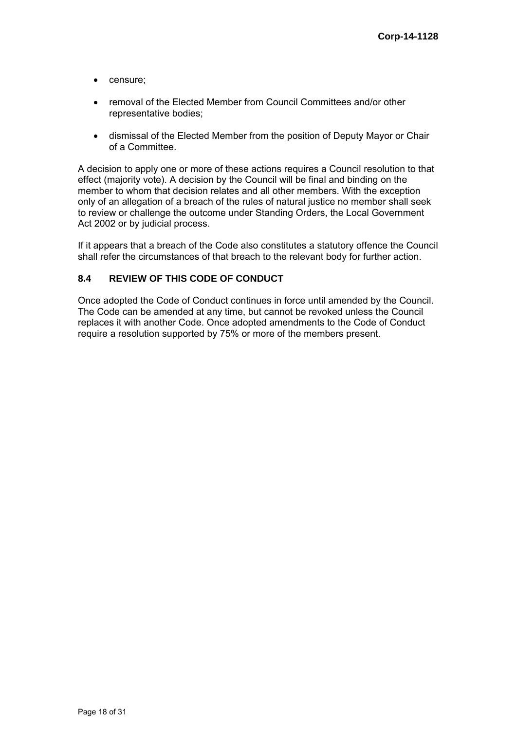- censure;
- removal of the Elected Member from Council Committees and/or other representative bodies;
- dismissal of the Elected Member from the position of Deputy Mayor or Chair of a Committee.

A decision to apply one or more of these actions requires a Council resolution to that effect (majority vote). A decision by the Council will be final and binding on the member to whom that decision relates and all other members. With the exception only of an allegation of a breach of the rules of natural justice no member shall seek to review or challenge the outcome under Standing Orders, the Local Government Act 2002 or by judicial process.

If it appears that a breach of the Code also constitutes a statutory offence the Council shall refer the circumstances of that breach to the relevant body for further action.

# **8.4 REVIEW OF THIS CODE OF CONDUCT**

Once adopted the Code of Conduct continues in force until amended by the Council. The Code can be amended at any time, but cannot be revoked unless the Council replaces it with another Code. Once adopted amendments to the Code of Conduct require a resolution supported by 75% or more of the members present.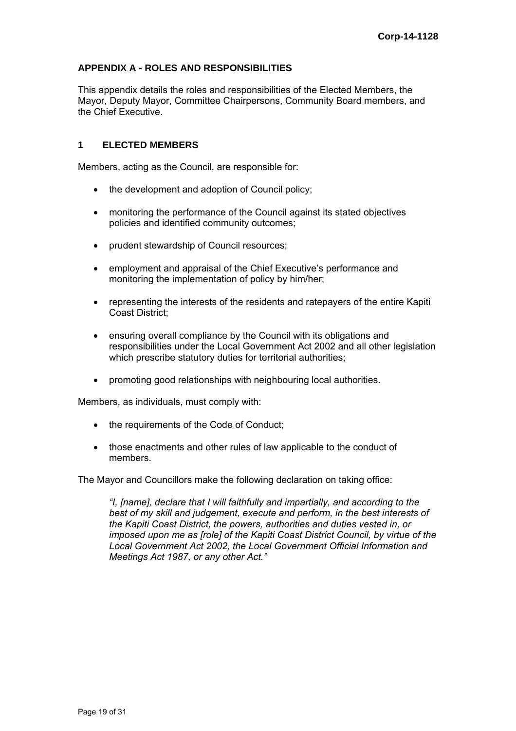# **APPENDIX A - ROLES AND RESPONSIBILITIES**

This appendix details the roles and responsibilities of the Elected Members, the Mayor, Deputy Mayor, Committee Chairpersons, Community Board members, and the Chief Executive.

#### **1 ELECTED MEMBERS**

Members, acting as the Council, are responsible for:

- the development and adoption of Council policy;
- monitoring the performance of the Council against its stated objectives policies and identified community outcomes;
- prudent stewardship of Council resources;
- employment and appraisal of the Chief Executive's performance and monitoring the implementation of policy by him/her;
- representing the interests of the residents and ratepayers of the entire Kapiti Coast District;
- ensuring overall compliance by the Council with its obligations and responsibilities under the Local Government Act 2002 and all other legislation which prescribe statutory duties for territorial authorities;
- promoting good relationships with neighbouring local authorities.

Members, as individuals, must comply with:

- the requirements of the Code of Conduct:
- those enactments and other rules of law applicable to the conduct of members.

The Mayor and Councillors make the following declaration on taking office:

*"I, [name], declare that I will faithfully and impartially, and according to the best of my skill and judgement, execute and perform, in the best interests of the Kapiti Coast District, the powers, authorities and duties vested in, or imposed upon me as [role] of the Kapiti Coast District Council, by virtue of the Local Government Act 2002, the Local Government Official Information and Meetings Act 1987, or any other Act."*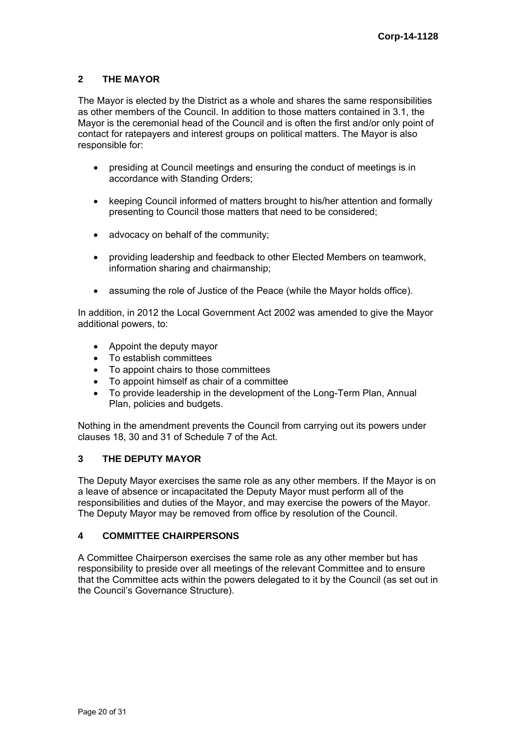# **2 THE MAYOR**

The Mayor is elected by the District as a whole and shares the same responsibilities as other members of the Council. In addition to those matters contained in 3.1, the Mayor is the ceremonial head of the Council and is often the first and/or only point of contact for ratepayers and interest groups on political matters. The Mayor is also responsible for:

- presiding at Council meetings and ensuring the conduct of meetings is in accordance with Standing Orders;
- keeping Council informed of matters brought to his/her attention and formally presenting to Council those matters that need to be considered;
- advocacy on behalf of the community;
- providing leadership and feedback to other Elected Members on teamwork, information sharing and chairmanship;
- assuming the role of Justice of the Peace (while the Mayor holds office).

In addition, in 2012 the Local Government Act 2002 was amended to give the Mayor additional powers, to:

- Appoint the deputy mayor
- To establish committees
- To appoint chairs to those committees
- To appoint himself as chair of a committee
- To provide leadership in the development of the Long-Term Plan, Annual Plan, policies and budgets.

Nothing in the amendment prevents the Council from carrying out its powers under clauses 18, 30 and 31 of Schedule 7 of the Act.

# **3 THE DEPUTY MAYOR**

The Deputy Mayor exercises the same role as any other members. If the Mayor is on a leave of absence or incapacitated the Deputy Mayor must perform all of the responsibilities and duties of the Mayor, and may exercise the powers of the Mayor. The Deputy Mayor may be removed from office by resolution of the Council.

### **4 COMMITTEE CHAIRPERSONS**

A Committee Chairperson exercises the same role as any other member but has responsibility to preside over all meetings of the relevant Committee and to ensure that the Committee acts within the powers delegated to it by the Council (as set out in the Council's Governance Structure).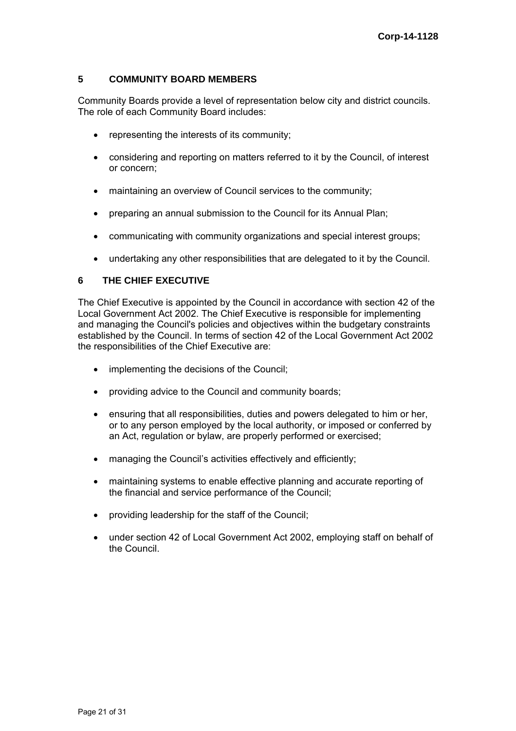# **5 COMMUNITY BOARD MEMBERS**

Community Boards provide a level of representation below city and district councils. The role of each Community Board includes:

- representing the interests of its community;
- considering and reporting on matters referred to it by the Council, of interest or concern;
- maintaining an overview of Council services to the community;
- preparing an annual submission to the Council for its Annual Plan;
- communicating with community organizations and special interest groups;
- undertaking any other responsibilities that are delegated to it by the Council.

#### **6 THE CHIEF EXECUTIVE**

The Chief Executive is appointed by the Council in accordance with section 42 of the Local Government Act 2002. The Chief Executive is responsible for implementing and managing the Council's policies and objectives within the budgetary constraints established by the Council. In terms of section 42 of the Local Government Act 2002 the responsibilities of the Chief Executive are:

- implementing the decisions of the Council;
- providing advice to the Council and community boards;
- ensuring that all responsibilities, duties and powers delegated to him or her, or to any person employed by the local authority, or imposed or conferred by an Act, regulation or bylaw, are properly performed or exercised;
- managing the Council's activities effectively and efficiently;
- maintaining systems to enable effective planning and accurate reporting of the financial and service performance of the Council;
- providing leadership for the staff of the Council;
- under section 42 of Local Government Act 2002, employing staff on behalf of the Council.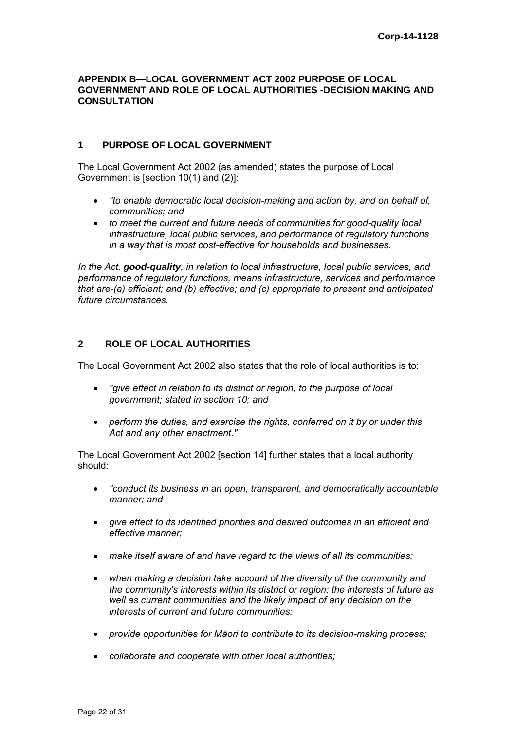#### **APPENDIX B—LOCAL GOVERNMENT ACT 2002 PURPOSE OF LOCAL GOVERNMENT AND ROLE OF LOCAL AUTHORITIES -DECISION MAKING AND CONSULTATION**

# **1 PURPOSE OF LOCAL GOVERNMENT**

The Local Government Act 2002 (as amended) states the purpose of Local Government is [section 10(1) and (2)]:

- *"to enable democratic local decision-making and action by, and on behalf of, communities; and*
- *to meet the current and future needs of communities for good-quality local infrastructure, local public services, and performance of regulatory functions in a way that is most cost-effective for households and businesses.*

*In the Act, good-quality, in relation to local infrastructure, local public services, and performance of regulatory functions, means infrastructure, services and performance that are-(a) efficient; and (b) effective; and (c) appropriate to present and anticipated future circumstances.* 

#### **2 ROLE OF LOCAL AUTHORITIES**

The Local Government Act 2002 also states that the role of local authorities is to:

- *"give effect in relation to its district or region, to the purpose of local government; stated in section 10; and*
- *perform the duties, and exercise the rights, conferred on it by or under this Act and any other enactment."*

The Local Government Act 2002 [section 14] further states that a local authority should:

- *"conduct its business in an open, transparent, and democratically accountable manner; and*
- *give effect to its identified priorities and desired outcomes in an efficient and effective manner;*
- *make itself aware of and have regard to the views of all its communities;*
- *when making a decision take account of the diversity of the community and the community's interests within its district or region; the interests of future as well as current communities and the likely impact of any decision on the interests of current and future communities;*
- *provide opportunities for Māori to contribute to its decision-making process;*
- *collaborate and cooperate with other local authorities;*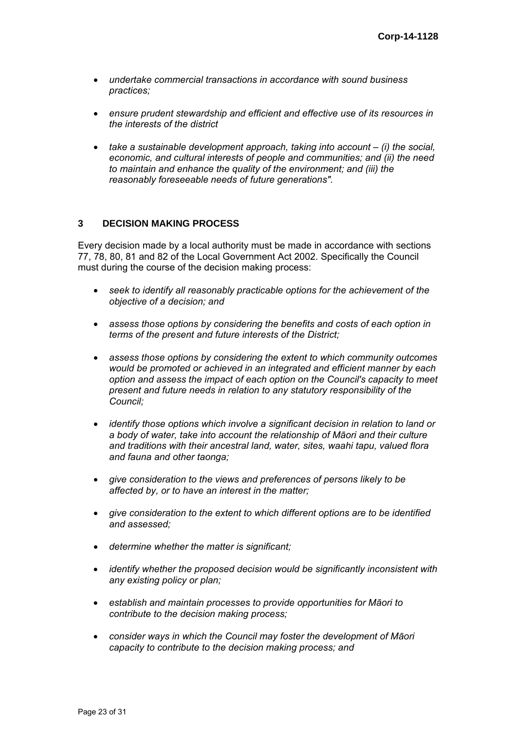- *undertake commercial transactions in accordance with sound business practices;*
- *ensure prudent stewardship and efficient and effective use of its resources in the interests of the district*
- *take a sustainable development approach, taking into account (i) the social, economic, and cultural interests of people and communities; and (ii) the need to maintain and enhance the quality of the environment; and (iii) the reasonably foreseeable needs of future generations".*

# **3 DECISION MAKING PROCESS**

Every decision made by a local authority must be made in accordance with sections 77, 78, 80, 81 and 82 of the Local Government Act 2002. Specifically the Council must during the course of the decision making process:

- *seek to identify all reasonably practicable options for the achievement of the objective of a decision; and*
- *assess those options by considering the benefits and costs of each option in terms of the present and future interests of the District;*
- *assess those options by considering the extent to which community outcomes would be promoted or achieved in an integrated and efficient manner by each option and assess the impact of each option on the Council's capacity to meet present and future needs in relation to any statutory responsibility of the Council;*
- *identify those options which involve a significant decision in relation to land or a body of water, take into account the relationship of Māori and their culture and traditions with their ancestral land, water, sites, waahi tapu, valued flora and fauna and other taonga;*
- *give consideration to the views and preferences of persons likely to be affected by, or to have an interest in the matter;*
- *give consideration to the extent to which different options are to be identified and assessed;*
- *determine whether the matter is significant;*
- *identify whether the proposed decision would be significantly inconsistent with any existing policy or plan;*
- *establish and maintain processes to provide opportunities for Māori to contribute to the decision making process;*
- *consider ways in which the Council may foster the development of Māori capacity to contribute to the decision making process; and*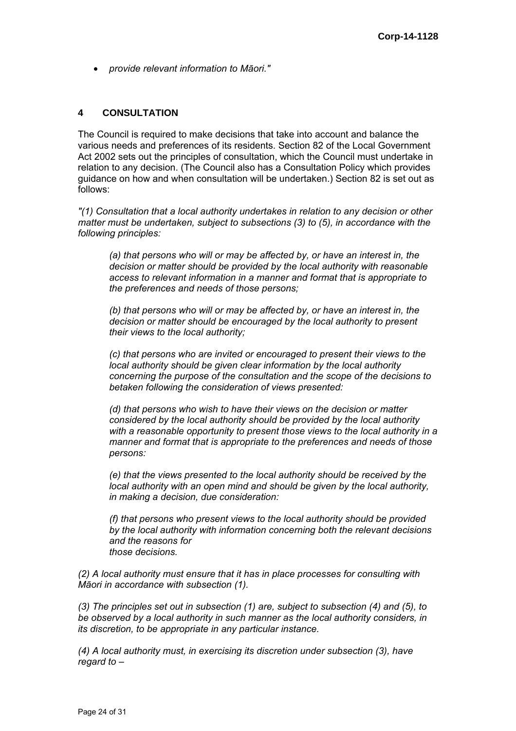*provide relevant information to Māori."* 

# **4 CONSULTATION**

The Council is required to make decisions that take into account and balance the various needs and preferences of its residents. Section 82 of the Local Government Act 2002 sets out the principles of consultation, which the Council must undertake in relation to any decision. (The Council also has a Consultation Policy which provides guidance on how and when consultation will be undertaken.) Section 82 is set out as follows:

*"(1) Consultation that a local authority undertakes in relation to any decision or other matter must be undertaken, subject to subsections (3) to (5), in accordance with the following principles:* 

*(a) that persons who will or may be affected by, or have an interest in, the decision or matter should be provided by the local authority with reasonable access to relevant information in a manner and format that is appropriate to the preferences and needs of those persons;* 

*(b) that persons who will or may be affected by, or have an interest in, the decision or matter should be encouraged by the local authority to present their views to the local authority;* 

*(c) that persons who are invited or encouraged to present their views to the local authority should be given clear information by the local authority concerning the purpose of the consultation and the scope of the decisions to betaken following the consideration of views presented:* 

*(d) that persons who wish to have their views on the decision or matter considered by the local authority should be provided by the local authority with a reasonable opportunity to present those views to the local authority in a manner and format that is appropriate to the preferences and needs of those persons:* 

*(e) that the views presented to the local authority should be received by the local authority with an open mind and should be given by the local authority, in making a decision, due consideration:* 

*(f) that persons who present views to the local authority should be provided by the local authority with information concerning both the relevant decisions and the reasons for those decisions.* 

*(2) A local authority must ensure that it has in place processes for consulting with Māori in accordance with subsection (1).* 

*(3) The principles set out in subsection (1) are, subject to subsection (4) and (5), to be observed by a local authority in such manner as the local authority considers, in its discretion, to be appropriate in any particular instance.* 

*(4) A local authority must, in exercising its discretion under subsection (3), have regard to –*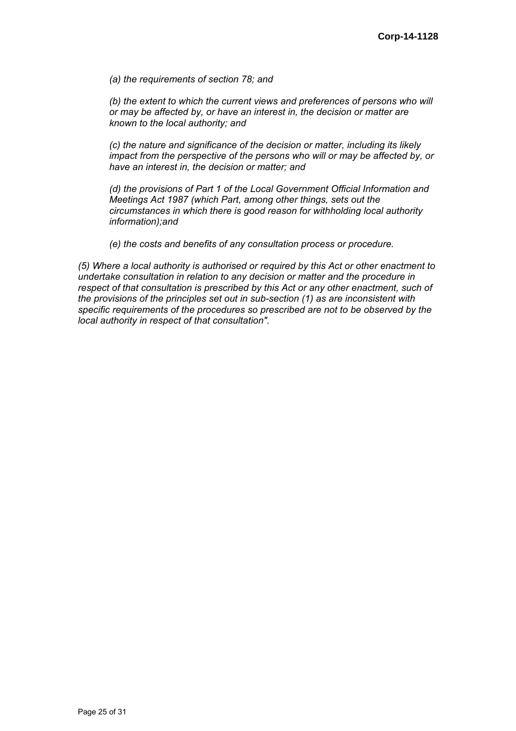*(a) the requirements of section 78; and* 

*(b)* the extent to which the current views and preferences of persons who will *or may be affected by, or have an interest in, the decision or matter are known to the local authority; and* 

*(c) the nature and significance of the decision or matter, including its likely impact from the perspective of the persons who will or may be affected by, or have an interest in, the decision or matter; and* 

*(d) the provisions of Part 1 of the Local Government Official Information and Meetings Act 1987 (which Part, among other things, sets out the circumstances in which there is good reason for withholding local authority information);and* 

*(e) the costs and benefits of any consultation process or procedure.* 

*(5) Where a local authority is authorised or required by this Act or other enactment to undertake consultation in relation to any decision or matter and the procedure in respect of that consultation is prescribed by this Act or any other enactment, such of the provisions of the principles set out in sub-section (1) as are inconsistent with specific requirements of the procedures so prescribed are not to be observed by the local authority in respect of that consultation".*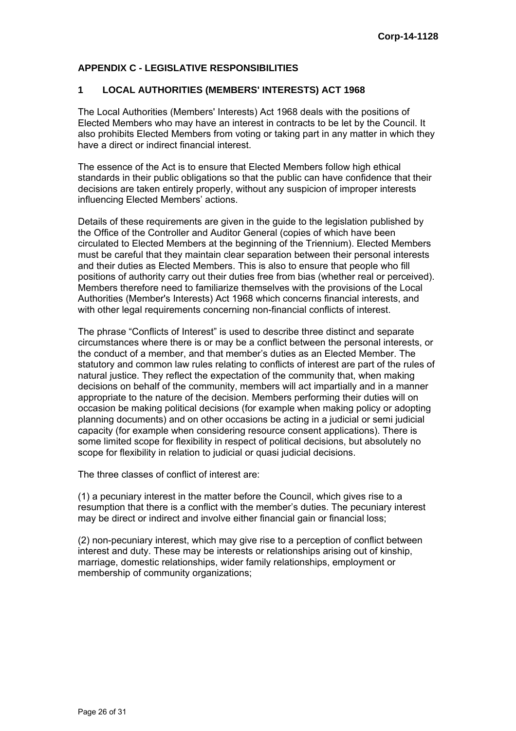# **APPENDIX C - LEGISLATIVE RESPONSIBILITIES**

#### **1 LOCAL AUTHORITIES (MEMBERS' INTERESTS) ACT 1968**

The Local Authorities (Members' Interests) Act 1968 deals with the positions of Elected Members who may have an interest in contracts to be let by the Council. It also prohibits Elected Members from voting or taking part in any matter in which they have a direct or indirect financial interest.

The essence of the Act is to ensure that Elected Members follow high ethical standards in their public obligations so that the public can have confidence that their decisions are taken entirely properly, without any suspicion of improper interests influencing Elected Members' actions.

Details of these requirements are given in the guide to the legislation published by the Office of the Controller and Auditor General (copies of which have been circulated to Elected Members at the beginning of the Triennium). Elected Members must be careful that they maintain clear separation between their personal interests and their duties as Elected Members. This is also to ensure that people who fill positions of authority carry out their duties free from bias (whether real or perceived). Members therefore need to familiarize themselves with the provisions of the Local Authorities (Member's Interests) Act 1968 which concerns financial interests, and with other legal requirements concerning non-financial conflicts of interest.

The phrase "Conflicts of Interest" is used to describe three distinct and separate circumstances where there is or may be a conflict between the personal interests, or the conduct of a member, and that member's duties as an Elected Member. The statutory and common law rules relating to conflicts of interest are part of the rules of natural justice. They reflect the expectation of the community that, when making decisions on behalf of the community, members will act impartially and in a manner appropriate to the nature of the decision. Members performing their duties will on occasion be making political decisions (for example when making policy or adopting planning documents) and on other occasions be acting in a judicial or semi judicial capacity (for example when considering resource consent applications). There is some limited scope for flexibility in respect of political decisions, but absolutely no scope for flexibility in relation to judicial or quasi judicial decisions.

The three classes of conflict of interest are:

(1) a pecuniary interest in the matter before the Council, which gives rise to a resumption that there is a conflict with the member's duties. The pecuniary interest may be direct or indirect and involve either financial gain or financial loss;

(2) non-pecuniary interest, which may give rise to a perception of conflict between interest and duty. These may be interests or relationships arising out of kinship, marriage, domestic relationships, wider family relationships, employment or membership of community organizations;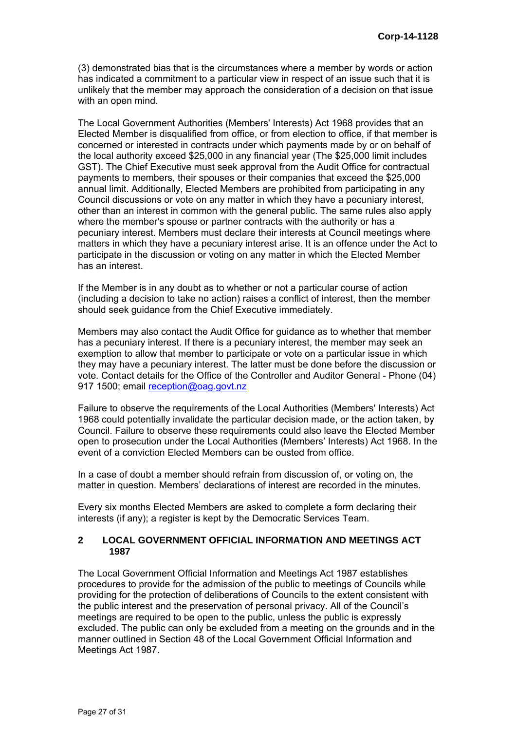(3) demonstrated bias that is the circumstances where a member by words or action has indicated a commitment to a particular view in respect of an issue such that it is unlikely that the member may approach the consideration of a decision on that issue with an open mind.

The Local Government Authorities (Members' Interests) Act 1968 provides that an Elected Member is disqualified from office, or from election to office, if that member is concerned or interested in contracts under which payments made by or on behalf of the local authority exceed \$25,000 in any financial year (The \$25,000 limit includes GST). The Chief Executive must seek approval from the Audit Office for contractual payments to members, their spouses or their companies that exceed the \$25,000 annual limit. Additionally, Elected Members are prohibited from participating in any Council discussions or vote on any matter in which they have a pecuniary interest, other than an interest in common with the general public. The same rules also apply where the member's spouse or partner contracts with the authority or has a pecuniary interest. Members must declare their interests at Council meetings where matters in which they have a pecuniary interest arise. It is an offence under the Act to participate in the discussion or voting on any matter in which the Elected Member has an interest.

If the Member is in any doubt as to whether or not a particular course of action (including a decision to take no action) raises a conflict of interest, then the member should seek guidance from the Chief Executive immediately.

Members may also contact the Audit Office for guidance as to whether that member has a pecuniary interest. If there is a pecuniary interest, the member may seek an exemption to allow that member to participate or vote on a particular issue in which they may have a pecuniary interest. The latter must be done before the discussion or vote. Contact details for the Office of the Controller and Auditor General - Phone (04) 917 1500; email [reception@oag.govt.nz](mailto:reception@oag.govt.nz)

Failure to observe the requirements of the Local Authorities (Members' Interests) Act 1968 could potentially invalidate the particular decision made, or the action taken, by Council. Failure to observe these requirements could also leave the Elected Member open to prosecution under the Local Authorities (Members' Interests) Act 1968. In the event of a conviction Elected Members can be ousted from office.

In a case of doubt a member should refrain from discussion of, or voting on, the matter in question. Members' declarations of interest are recorded in the minutes.

Every six months Elected Members are asked to complete a form declaring their interests (if any); a register is kept by the Democratic Services Team.

#### **2 LOCAL GOVERNMENT OFFICIAL INFORMATION AND MEETINGS ACT 1987**

The Local Government Official Information and Meetings Act 1987 establishes procedures to provide for the admission of the public to meetings of Councils while providing for the protection of deliberations of Councils to the extent consistent with the public interest and the preservation of personal privacy. All of the Council's meetings are required to be open to the public, unless the public is expressly excluded. The public can only be excluded from a meeting on the grounds and in the manner outlined in Section 48 of the Local Government Official Information and Meetings Act 1987.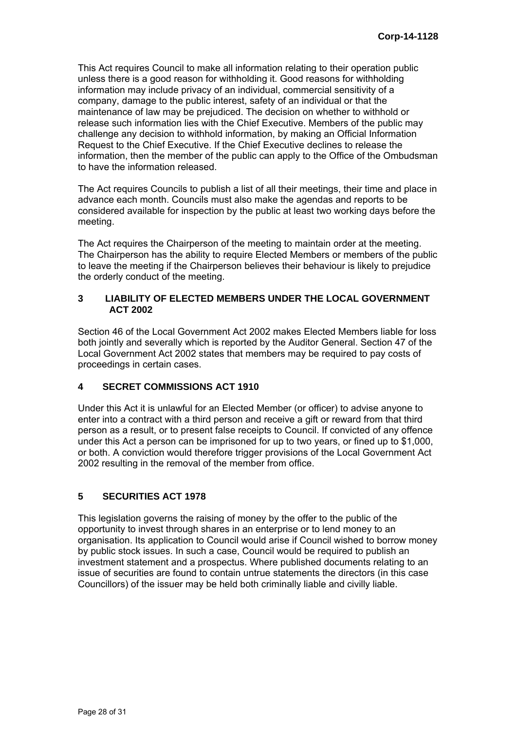This Act requires Council to make all information relating to their operation public unless there is a good reason for withholding it. Good reasons for withholding information may include privacy of an individual, commercial sensitivity of a company, damage to the public interest, safety of an individual or that the maintenance of law may be prejudiced. The decision on whether to withhold or release such information lies with the Chief Executive. Members of the public may challenge any decision to withhold information, by making an Official Information Request to the Chief Executive. If the Chief Executive declines to release the information, then the member of the public can apply to the Office of the Ombudsman to have the information released.

The Act requires Councils to publish a list of all their meetings, their time and place in advance each month. Councils must also make the agendas and reports to be considered available for inspection by the public at least two working days before the meeting.

The Act requires the Chairperson of the meeting to maintain order at the meeting. The Chairperson has the ability to require Elected Members or members of the public to leave the meeting if the Chairperson believes their behaviour is likely to prejudice the orderly conduct of the meeting.

# **3 LIABILITY OF ELECTED MEMBERS UNDER THE LOCAL GOVERNMENT ACT 2002**

Section 46 of the Local Government Act 2002 makes Elected Members liable for loss both jointly and severally which is reported by the Auditor General. Section 47 of the Local Government Act 2002 states that members may be required to pay costs of proceedings in certain cases.

# **4 SECRET COMMISSIONS ACT 1910**

Under this Act it is unlawful for an Elected Member (or officer) to advise anyone to enter into a contract with a third person and receive a gift or reward from that third person as a result, or to present false receipts to Council. If convicted of any offence under this Act a person can be imprisoned for up to two years, or fined up to \$1,000, or both. A conviction would therefore trigger provisions of the Local Government Act 2002 resulting in the removal of the member from office.

# **5 SECURITIES ACT 1978**

This legislation governs the raising of money by the offer to the public of the opportunity to invest through shares in an enterprise or to lend money to an organisation. Its application to Council would arise if Council wished to borrow money by public stock issues. In such a case, Council would be required to publish an investment statement and a prospectus. Where published documents relating to an issue of securities are found to contain untrue statements the directors (in this case Councillors) of the issuer may be held both criminally liable and civilly liable.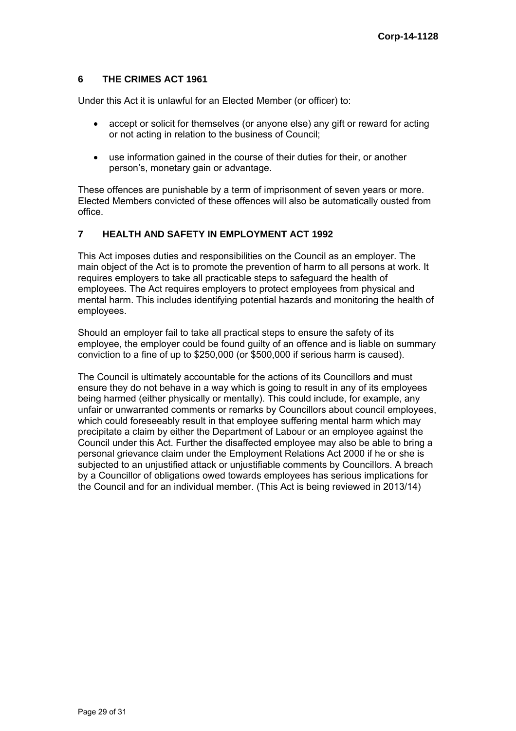# **6 THE CRIMES ACT 1961**

Under this Act it is unlawful for an Elected Member (or officer) to:

- accept or solicit for themselves (or anyone else) any gift or reward for acting or not acting in relation to the business of Council;
- use information gained in the course of their duties for their, or another person's, monetary gain or advantage.

These offences are punishable by a term of imprisonment of seven years or more. Elected Members convicted of these offences will also be automatically ousted from office.

# **7 HEALTH AND SAFETY IN EMPLOYMENT ACT 1992**

This Act imposes duties and responsibilities on the Council as an employer. The main object of the Act is to promote the prevention of harm to all persons at work. It requires employers to take all practicable steps to safeguard the health of employees. The Act requires employers to protect employees from physical and mental harm. This includes identifying potential hazards and monitoring the health of employees.

Should an employer fail to take all practical steps to ensure the safety of its employee, the employer could be found guilty of an offence and is liable on summary conviction to a fine of up to \$250,000 (or \$500,000 if serious harm is caused).

The Council is ultimately accountable for the actions of its Councillors and must ensure they do not behave in a way which is going to result in any of its employees being harmed (either physically or mentally). This could include, for example, any unfair or unwarranted comments or remarks by Councillors about council employees, which could foreseeably result in that employee suffering mental harm which may precipitate a claim by either the Department of Labour or an employee against the Council under this Act. Further the disaffected employee may also be able to bring a personal grievance claim under the Employment Relations Act 2000 if he or she is subjected to an unjustified attack or unjustifiable comments by Councillors. A breach by a Councillor of obligations owed towards employees has serious implications for the Council and for an individual member. (This Act is being reviewed in 2013/14)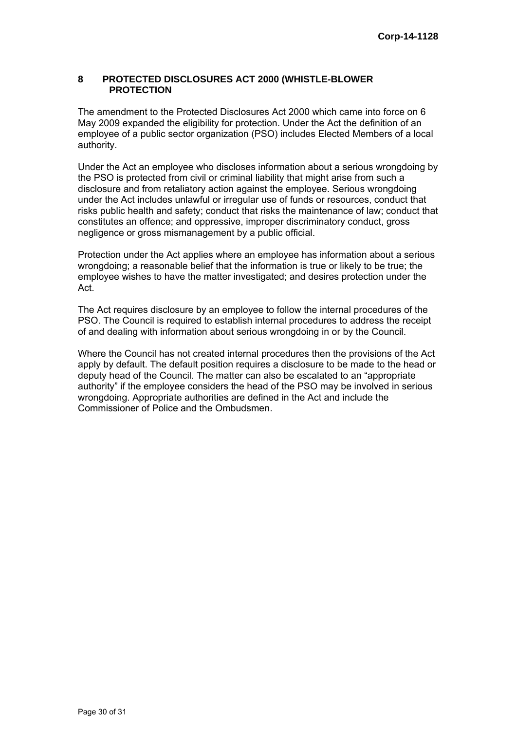#### **8 PROTECTED DISCLOSURES ACT 2000 (WHISTLE-BLOWER PROTECTION**

The amendment to the Protected Disclosures Act 2000 which came into force on 6 May 2009 expanded the eligibility for protection. Under the Act the definition of an employee of a public sector organization (PSO) includes Elected Members of a local authority.

Under the Act an employee who discloses information about a serious wrongdoing by the PSO is protected from civil or criminal liability that might arise from such a disclosure and from retaliatory action against the employee. Serious wrongdoing under the Act includes unlawful or irregular use of funds or resources, conduct that risks public health and safety; conduct that risks the maintenance of law; conduct that constitutes an offence; and oppressive, improper discriminatory conduct, gross negligence or gross mismanagement by a public official.

Protection under the Act applies where an employee has information about a serious wrongdoing; a reasonable belief that the information is true or likely to be true; the employee wishes to have the matter investigated; and desires protection under the Act.

The Act requires disclosure by an employee to follow the internal procedures of the PSO. The Council is required to establish internal procedures to address the receipt of and dealing with information about serious wrongdoing in or by the Council.

Where the Council has not created internal procedures then the provisions of the Act apply by default. The default position requires a disclosure to be made to the head or deputy head of the Council. The matter can also be escalated to an "appropriate authority" if the employee considers the head of the PSO may be involved in serious wrongdoing. Appropriate authorities are defined in the Act and include the Commissioner of Police and the Ombudsmen.